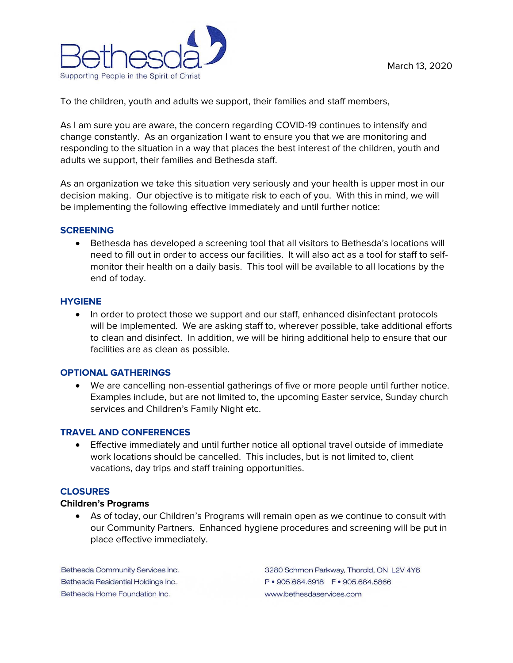

To the children, youth and adults we support, their families and staff members,

As I am sure you are aware, the concern regarding COVID-19 continues to intensify and change constantly. As an organization I want to ensure you that we are monitoring and responding to the situation in a way that places the best interest of the children, youth and adults we support, their families and Bethesda staff.

As an organization we take this situation very seriously and your health is upper most in our decision making. Our objective is to mitigate risk to each of you. With this in mind, we will be implementing the following effective immediately and until further notice:

### **SCREENING**

 Bethesda has developed a screening tool that all visitors to Bethesda's locations will need to fill out in order to access our facilities. It will also act as a tool for staff to selfmonitor their health on a daily basis. This tool will be available to all locations by the end of today.

#### **HYGIENE**

• In order to protect those we support and our staff, enhanced disinfectant protocols will be implemented. We are asking staff to, wherever possible, take additional efforts to clean and disinfect. In addition, we will be hiring additional help to ensure that our facilities are as clean as possible.

#### **OPTIONAL GATHERINGS**

 We are cancelling non-essential gatherings of five or more people until further notice. Examples include, but are not limited to, the upcoming Easter service, Sunday church services and Children's Family Night etc.

## **TRAVEL AND CONFERENCES**

 Effective immediately and until further notice all optional travel outside of immediate work locations should be cancelled. This includes, but is not limited to, client vacations, day trips and staff training opportunities.

#### **CLOSURES**

#### **Children's Programs**

 As of today, our Children's Programs will remain open as we continue to consult with our Community Partners. Enhanced hygiene procedures and screening will be put in place effective immediately.

Bethesda Community Services Inc. Bethesda Residential Holdings Inc. Bethesda Home Foundation Inc.

3280 Schmon Parkway, Thorold, ON L2V 4Y6 www.bethesdaservices.com